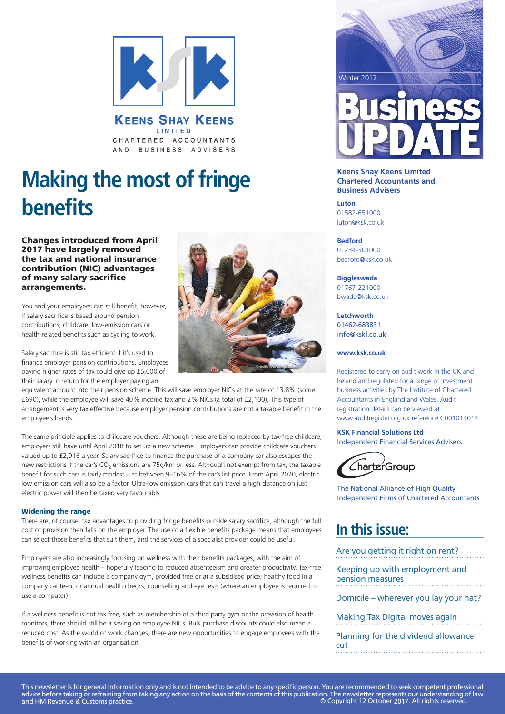

**KEENS SHAY KEENS** LIMITED CHARTERED ACCOUNTANTS AND BUSINESS ADVISERS

# **Making the most of fringe benefits**

Changes introduced from April 2017 have largely removed the tax and national insurance contribution (NIC) advantages of many salary sacrifice arrangements.

You and your employees can still benefit, however, if salary sacrifice is based around pension contributions, childcare, low-emission cars or health-related benefits such as cycling to work.

Salary sacrifice is still tax efficient if it's used to finance employer pension contributions. Employees paying higher rates of tax could give up £5,000 of their salary in return for the employer paying an



equivalent amount into their pension scheme. This will save employer NICs at the rate of 13.8% (some £690), while the employee will save 40% income tax and 2% NICs (a total of £2,100). This type of arrangement is very tax effective because employer pension contributions are not a taxable benefit in the employee's hands.

The same principle applies to childcare vouchers. Although these are being replaced by tax-free childcare, employers still have until April 2018 to set up a new scheme. Employers can provide childcare vouchers valued up to £2,916 a year. Salary sacrifice to finance the purchase of a company car also escapes the new restrictions if the car's CO<sub>2</sub> emissions are 75g/km or less. Although not exempt from tax, the taxable benefit for such cars is fairly modest – at between 9–16% of the car's list price. From April 2020, electric low emission cars will also be a factor. Ultra-low emission cars that can travel a high distance on just electric power will then be taxed very favourably.

#### Widening the range

There are, of course, tax advantages to providing fringe benefits outside salary sacrifice, although the full cost of provision then falls on the employer. The use of a flexible benefits package means that employees can select those benefits that suit them, and the services of a specialist provider could be useful.

Employers are also increasingly focusing on wellness with their benefits packages, with the aim of improving employee health – hopefully leading to reduced absenteeism and greater productivity. Tax-free wellness benefits can include a company gym, provided free or at a subsidised price; healthy food in a company canteen; or annual health checks, counselling and eye tests (where an employee is required to use a computer).

If a wellness benefit is not tax free, such as membership of a third party gym or the provision of health monitors, there should still be a saving on employee NICs. Bulk purchase discounts could also mean a reduced cost. As the world of work changes, there are new opportunities to engage employees with the benefits of working with an organisation.



#### **Keens Shay Keens Limited Chartered Accountants and Business Advisers**

**Luton** 01582-651000 luton@ksk.co.uk

**Bedford** 01234-301000 bedford@ksk.co.uk

#### **Biggleswade**

01767-221000 bwade@ksk.co.uk

**PicSource** info@kskl.co.uk **Letchworth** 01462-683831

#### **www.ksk.co.uk**

Registered to carry on audit work in the UK and Ireland and regulated for a range of investment business activities by The Institute of Chartered Accountants in England and Wales. Audit registration details can be viewed at www.auditregister.org.uk reference C001013014.

# **KSK Financial Solutions Ltd**

Independent Financial Services Advisers



The National Alliance of High Quality Independent Firms of Chartered Accountants

# **In this issue:**

Are you getting it right on rent?

Keeping up with employment and pension measures

Domicile – wherever you lay your hat?

Making Tax Digital moves again

Planning for the dividend allowance cut

This newsletter is for general information only and is not intended to be advice to any specific person. You are recommended to seek competent professional advice before taking or refraining from taking any action on the basis of the contents of this publication. The newsletter represents our understanding of law and HM Revenue & Customs practice. © Copyright 12 October 2017. All rights reserved.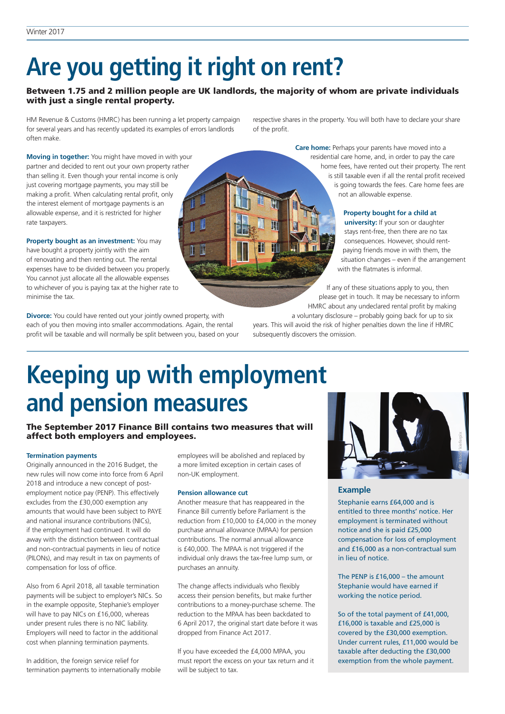# **Are you getting it right on rent?**

# Between 1.75 and 2 million people are UK landlords, the majority of whom are private individuals with just a single rental property.

HM Revenue & Customs (HMRC) has been running a let property campaign for several years and has recently updated its examples of errors landlords often make.

**Moving in together:** You might have moved in with your partner and decided to rent out your own property rather than selling it. Even though your rental income is only just covering mortgage payments, you may still be making a profit. When calculating rental profit, only the interest element of mortgage payments is an allowable expense, and it is restricted for higher rate taxpayers.

**Property bought as an investment:** You may have bought a property jointly with the aim of renovating and then renting out. The rental expenses have to be divided between you properly. You cannot just allocate all the allowable expenses to whichever of you is paying tax at the higher rate to minimise the tax.

**Divorce:** You could have rented out your jointly owned property, with each of you then moving into smaller accommodations. Again, the rental profit will be taxable and will normally be split between you, based on your respective shares in the property. You will both have to declare your share of the profit.



**Care home:** Perhaps your parents have moved into a residential care home, and, in order to pay the care home fees, have rented out their property. The rent is still taxable even if all the rental profit received is going towards the fees. Care home fees are not an allowable expense.

### **Property bought for a child at**

**university:** If your son or daughter stays rent-free, then there are no tax consequences. However, should rentpaying friends move in with them, the situation changes – even if the arrangement with the flatmates is informal.

If any of these situations apply to you, then please get in touch. It may be necessary to inform HMRC about any undeclared rental profit by making

a voluntary disclosure – probably going back for up to six years. This will avoid the risk of higher penalties down the line if HMRC subsequently discovers the omission.

# **Keeping up with employment and pension measures**

# The September 2017 Finance Bill contains two measures that will affect both employers and employees.

#### **Termination payments**

Originally announced in the 2016 Budget, the new rules will now come into force from 6 April 2018 and introduce a new concept of postemployment notice pay (PENP). This effectively excludes from the £30,000 exemption any amounts that would have been subject to PAYE and national insurance contributions (NICs), if the employment had continued. It will do away with the distinction between contractual and non-contractual payments in lieu of notice (PILONs), and may result in tax on payments of compensation for loss of office.

Also from 6 April 2018, all taxable termination payments will be subject to employer's NICs. So in the example opposite, Stephanie's employer will have to pay NICs on £16,000, whereas under present rules there is no NIC liability. Employers will need to factor in the additional cost when planning termination payments.

In addition, the foreign service relief for termination payments to internationally mobile employees will be abolished and replaced by a more limited exception in certain cases of non-UK employment.

### **Pension allowance cut**

Another measure that has reappeared in the Finance Bill currently before Parliament is the reduction from £10,000 to £4,000 in the money purchase annual allowance (MPAA) for pension contributions. The normal annual allowance is £40,000. The MPAA is not triggered if the individual only draws the tax-free lump sum, or purchases an annuity.

The change affects individuals who flexibly access their pension benefits, but make further contributions to a money-purchase scheme. The reduction to the MPAA has been backdated to 6 April 2017, the original start date before it was dropped from Finance Act 2017.

If you have exceeded the £4,000 MPAA, you must report the excess on your tax return and it will be subject to tax.



### **Example**

Stephanie earns £64,000 and is entitled to three months' notice. Her employment is terminated without notice and she is paid £25,000 compensation for loss of employment and £16,000 as a non-contractual sum in lieu of notice.

The PENP is £16,000 – the amount Stephanie would have earned if working the notice period.

So of the total payment of £41,000, £16,000 is taxable and £25,000 is covered by the £30,000 exemption. Under current rules, £11,000 would be taxable after deducting the £30,000 exemption from the whole payment.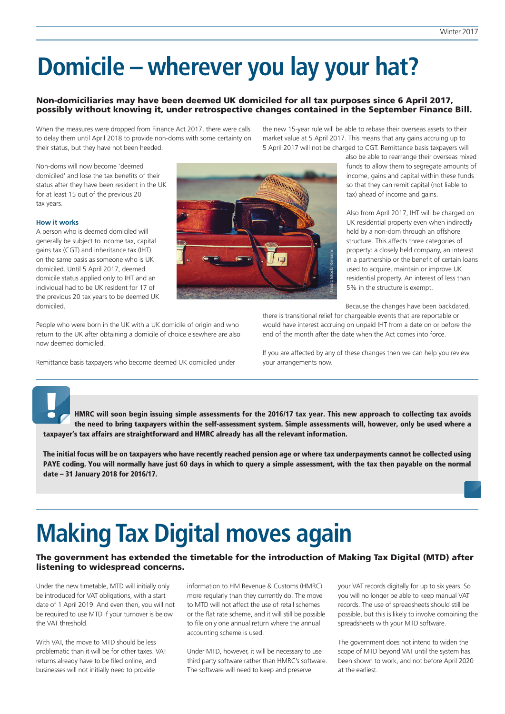# **Domicile – wherever you lay your hat?**

### Non-domiciliaries may have been deemed UK domiciled for all tax purposes since 6 April 2017, possibly without knowing it, under retrospective changes contained in the September Finance Bill.

When the measures were dropped from Finance Act 2017, there were calls to delay them until April 2018 to provide non-doms with some certainty on their status, but they have not been heeded.

Non-doms will now become 'deemed domiciled' and lose the tax benefits of their status after they have been resident in the UK for at least 15 out of the previous 20 tax years.

#### **How it works**

A person who is deemed domiciled will generally be subject to income tax, capital gains tax (CGT) and inheritance tax (IHT) on the same basis as someone who is UK domiciled. Until 5 April 2017, deemed domicile status applied only to IHT and an individual had to be UK resident for 17 of the previous 20 tax years to be deemed UK domiciled.

People who were born in the UK with a UK domicile of origin and who return to the UK after obtaining a domicile of choice elsewhere are also now deemed domiciled.

Remittance basis taxpayers who become deemed UK domiciled under



the new 15-year rule will be able to rebase their overseas assets to their market value at 5 April 2017. This means that any gains accruing up to 5 April 2017 will not be charged to CGT. Remittance basis taxpayers will

> also be able to rearrange their overseas mixed funds to allow them to segregate amounts of income, gains and capital within these funds so that they can remit capital (not liable to tax) ahead of income and gains.

> Also from April 2017, IHT will be charged on UK residential property even when indirectly held by a non-dom through an offshore structure. This affects three categories of property: a closely held company, an interest in a partnership or the benefit of certain loans used to acquire, maintain or improve UK residential property. An interest of less than 5% in the structure is exempt.

Because the changes have been backdated,

there is transitional relief for chargeable events that are reportable or would have interest accruing on unpaid IHT from a date on or before the end of the month after the date when the Act comes into force.

If you are affected by any of these changes then we can help you review your arrangements now.

HMRC will soon begin issuing simple assessments for the 2016/17 tax year. This new approach to collecting tax avoids the need to bring taxpayers within the self-assessment system. Simple assessments will, however, only be used where a taxpayer's tax affairs are straightforward and HMRC already has all the relevant information.

The initial focus will be on taxpayers who have recently reached pension age or where tax underpayments cannot be collected using PAYE coding. You will normally have just 60 days in which to query a simple assessment, with the tax then payable on the normal date – 31 January 2018 for 2016/17.

# **Making Tax Digital moves again**

### The government has extended the timetable for the introduction of Making Tax Digital (MTD) after listening to widespread concerns.

Under the new timetable, MTD will initially only be introduced for VAT obligations, with a start date of 1 April 2019. And even then, you will not be required to use MTD if your turnover is below the VAT threshold.

With VAT, the move to MTD should be less problematic than it will be for other taxes. VAT returns already have to be filed online, and businesses will not initially need to provide

information to HM Revenue & Customs (HMRC) more regularly than they currently do. The move to MTD will not affect the use of retail schemes or the flat rate scheme, and it will still be possible to file only one annual return where the annual accounting scheme is used.

Under MTD, however, it will be necessary to use third party software rather than HMRC's software. The software will need to keep and preserve

your VAT records digitally for up to six years. So you will no longer be able to keep manual VAT records. The use of spreadsheets should still be possible, but this is likely to involve combining the spreadsheets with your MTD software.

The government does not intend to widen the scope of MTD beyond VAT until the system has been shown to work, and not before April 2020 at the earliest.